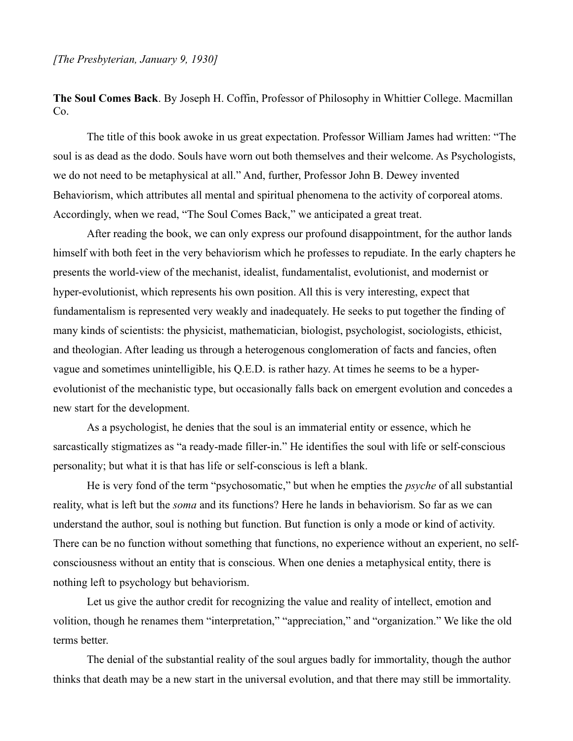**The Soul Comes Back**. By Joseph H. Coffin, Professor of Philosophy in Whittier College. Macmillan Co.

The title of this book awoke in us great expectation. Professor William James had written: "The soul is as dead as the dodo. Souls have worn out both themselves and their welcome. As Psychologists, we do not need to be metaphysical at all." And, further, Professor John B. Dewey invented Behaviorism, which attributes all mental and spiritual phenomena to the activity of corporeal atoms. Accordingly, when we read, "The Soul Comes Back," we anticipated a great treat.

After reading the book, we can only express our profound disappointment, for the author lands himself with both feet in the very behaviorism which he professes to repudiate. In the early chapters he presents the world-view of the mechanist, idealist, fundamentalist, evolutionist, and modernist or hyper-evolutionist, which represents his own position. All this is very interesting, expect that fundamentalism is represented very weakly and inadequately. He seeks to put together the finding of many kinds of scientists: the physicist, mathematician, biologist, psychologist, sociologists, ethicist, and theologian. After leading us through a heterogenous conglomeration of facts and fancies, often vague and sometimes unintelligible, his Q.E.D. is rather hazy. At times he seems to be a hyperevolutionist of the mechanistic type, but occasionally falls back on emergent evolution and concedes a new start for the development.

As a psychologist, he denies that the soul is an immaterial entity or essence, which he sarcastically stigmatizes as "a ready-made filler-in." He identifies the soul with life or self-conscious personality; but what it is that has life or self-conscious is left a blank.

He is very fond of the term "psychosomatic," but when he empties the *psyche* of all substantial reality, what is left but the *soma* and its functions? Here he lands in behaviorism. So far as we can understand the author, soul is nothing but function. But function is only a mode or kind of activity. There can be no function without something that functions, no experience without an experient, no selfconsciousness without an entity that is conscious. When one denies a metaphysical entity, there is nothing left to psychology but behaviorism.

Let us give the author credit for recognizing the value and reality of intellect, emotion and volition, though he renames them "interpretation," "appreciation," and "organization." We like the old terms better.

The denial of the substantial reality of the soul argues badly for immortality, though the author thinks that death may be a new start in the universal evolution, and that there may still be immortality.